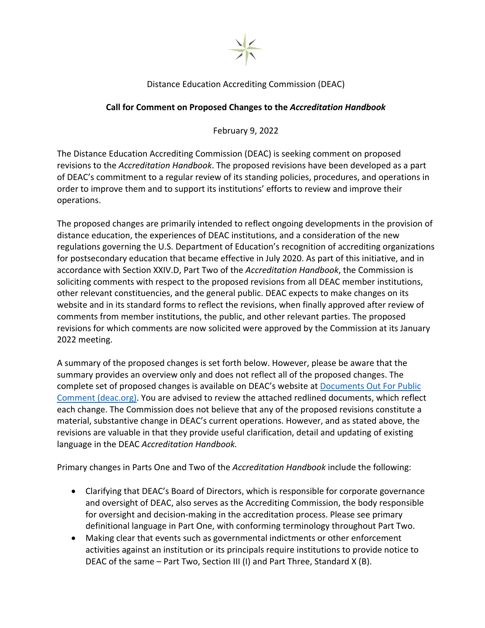

## Distance Education Accrediting Commission (DEAC)

## **Call for Comment on Proposed Changes to the** *Accreditation Handbook*

February 9, 2022

The Distance Education Accrediting Commission (DEAC) is seeking comment on proposed revisions to the *Accreditation Handbook*. The proposed revisions have been developed as a part of DEAC's commitment to a regular review of its standing policies, procedures, and operations in order to improve them and to support its institutions' efforts to review and improve their operations.

The proposed changes are primarily intended to reflect ongoing developments in the provision of distance education, the experiences of DEAC institutions, and a consideration of the new regulations governing the U.S. Department of Education's recognition of accrediting organizations for postsecondary education that became effective in July 2020. As part of this initiative, and in accordance with Section XXIV.D, Part Two of the *Accreditation Handbook*, the Commission is soliciting comments with respect to the proposed revisions from all DEAC member institutions, other relevant constituencies, and the general public. DEAC expects to make changes on its website and in its standard forms to reflect the revisions, when finally approved after review of comments from member institutions, the public, and other relevant parties. The proposed revisions for which comments are now solicited were approved by the Commission at its January 2022 meeting.

A summary of the proposed changes is set forth below. However, please be aware that the summary provides an overview only and does not reflect all of the proposed changes. The complete set of proposed changes is available on DEAC's website at [Documents Out For Public](https://www.deac.org/Public-Notices/Document-Out-For-Public-Comment.aspx)  [Comment \(deac.org\).](https://www.deac.org/Public-Notices/Document-Out-For-Public-Comment.aspx) You are advised to review the attached redlined documents, which reflect each change. The Commission does not believe that any of the proposed revisions constitute a material, substantive change in DEAC's current operations. However, and as stated above, the revisions are valuable in that they provide useful clarification, detail and updating of existing language in the DEAC *Accreditation Handbook.*

Primary changes in Parts One and Two of the *Accreditation Handbook* include the following:

- Clarifying that DEAC's Board of Directors, which is responsible for corporate governance and oversight of DEAC, also serves as the Accrediting Commission, the body responsible for oversight and decision-making in the accreditation process. Please see primary definitional language in Part One, with conforming terminology throughout Part Two.
- Making clear that events such as governmental indictments or other enforcement activities against an institution or its principals require institutions to provide notice to DEAC of the same – Part Two, Section III (I) and Part Three, Standard X (B).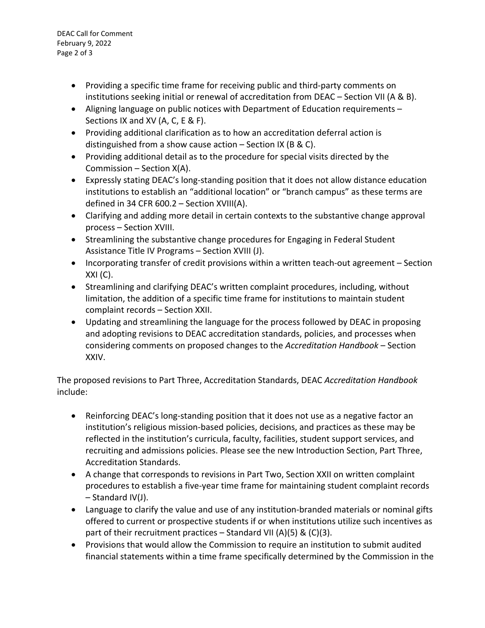DEAC Call for Comment February 9, 2022 Page 2 of 3

- Providing a specific time frame for receiving public and third-party comments on institutions seeking initial or renewal of accreditation from DEAC – Section VII (A & B).
- Aligning language on public notices with Department of Education requirements Sections IX and XV (A, C, E & F).
- Providing additional clarification as to how an accreditation deferral action is distinguished from a show cause action – Section IX (B & C).
- Providing additional detail as to the procedure for special visits directed by the Commission – Section X(A).
- Expressly stating DEAC's long-standing position that it does not allow distance education institutions to establish an "additional location" or "branch campus" as these terms are defined in 34 CFR 600.2 – Section XVIII(A).
- Clarifying and adding more detail in certain contexts to the substantive change approval process – Section XVIII.
- Streamlining the substantive change procedures for Engaging in Federal Student Assistance Title IV Programs – Section XVIII (J).
- Incorporating transfer of credit provisions within a written teach-out agreement Section  $XXI (C).$
- Streamlining and clarifying DEAC's written complaint procedures, including, without limitation, the addition of a specific time frame for institutions to maintain student complaint records – Section XXII.
- Updating and streamlining the language for the process followed by DEAC in proposing and adopting revisions to DEAC accreditation standards, policies, and processes when considering comments on proposed changes to the *Accreditation Handbook* – Section XXIV.

The proposed revisions to Part Three, Accreditation Standards, DEAC *Accreditation Handbook* include:

- Reinforcing DEAC's long-standing position that it does not use as a negative factor an institution's religious mission-based policies, decisions, and practices as these may be reflected in the institution's curricula, faculty, facilities, student support services, and recruiting and admissions policies. Please see the new Introduction Section, Part Three, Accreditation Standards.
- A change that corresponds to revisions in Part Two, Section XXII on written complaint procedures to establish a five-year time frame for maintaining student complaint records – Standard IV(J).
- Language to clarify the value and use of any institution-branded materials or nominal gifts offered to current or prospective students if or when institutions utilize such incentives as part of their recruitment practices – Standard VII (A)(5) & (C)(3).
- Provisions that would allow the Commission to require an institution to submit audited financial statements within a time frame specifically determined by the Commission in the